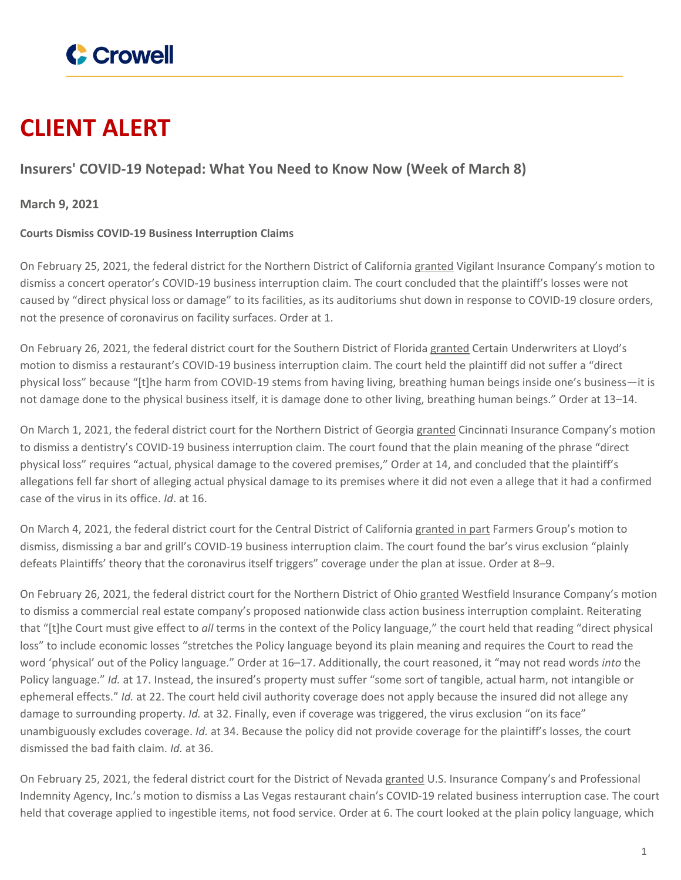

# **CLIENT ALERT**

## **Insurers' COVID-19 Notepad: What You Need to Know Now (Week of March 8)**

**March 9, 2021**

### **Courts Dismiss COVID-19 Business Interruption Claims**

On February 25, 2021, the federal district for the Northern District of California [granted](https://www.crowell.com/files/Another-Planet-Order.PDF) Vigilant Insurance Company's motion to dismiss a concert operator's COVID-19 business interruption claim. The court concluded that the plaintiff's losses were not caused by "direct physical loss or damage" to its facilities, as its auditoriums shut down in response to COVID-19 closure orders, not the presence of coronavirus on facility surfaces. Order at 1.

On February 26, 2021, the federal district court for the Southern District of Florida [granted](https://www.crowell.com/files/Town-Kitchen-Order.PDF) Certain Underwriters at Lloyd's motion to dismiss a restaurant's COVID-19 business interruption claim. The court held the plaintiff did not suffer a "direct physical loss" because "[t]he harm from COVID-19 stems from having living, breathing human beings inside one's business—it is not damage done to the physical business itself, it is damage done to other living, breathing human beings." Order at 13–14.

On March 1, 2021, the federal district court for the Northern District of Georgia [granted](https://www.crowell.com/files/Gilreath-Order.PDF) Cincinnati Insurance Company's motion to dismiss a dentistry's COVID-19 business interruption claim. The court found that the plain meaning of the phrase "direct physical loss" requires "actual, physical damage to the covered premises," Order at 14, and concluded that the plaintiff's allegations fell far short of alleging actual physical damage to its premises where it did not even a allege that it had a confirmed case of the virus in its office. *Id*. at 16.

On March 4, 2021, the federal district court for the Central District of California [granted](https://www.crowell.com/files/Kingray-Order.PDF) in part Farmers Group's motion to dismiss, dismissing a bar and grill's COVID-19 business interruption claim. The court found the bar's virus exclusion "plainly defeats Plaintiffs' theory that the coronavirus itself triggers" coverage under the plan at issue. Order at 8–9.

On February 26, 2021, the federal district court for the Northern District of Ohio [granted](https://www.crowell.com/files/Equity-Planning-Order.PDF) Westfield Insurance Company's motion to dismiss a commercial real estate company's proposed nationwide class action business interruption complaint. Reiterating that "[t]he Court must give effect to *all* terms in the context of the Policy language," the court held that reading "direct physical loss" to include economic losses "stretches the Policy language beyond its plain meaning and requires the Court to read the word 'physical' out of the Policy language." Order at 16–17. Additionally, the court reasoned, it "may not read words *into* the Policy language." *Id.* at 17. Instead, the insured's property must suffer "some sort of tangible, actual harm, not intangible or ephemeral effects." *Id.* at 22. The court held civil authority coverage does not apply because the insured did not allege any damage to surrounding property. *Id.* at 32. Finally, even if coverage was triggered, the virus exclusion "on its face" unambiguously excludes coverage. *Id.* at 34. Because the policy did not provide coverage for the plaintiff's losses, the court dismissed the bad faith claim. *Id.* at 36.

On February 25, 2021, the federal district court for the District of Nevada [granted](https://www.crowell.com/files/Egg-and-I-Order.PDF) U.S. Insurance Company's and Professional Indemnity Agency, Inc.'s motion to dismiss a Las Vegas restaurant chain's COVID-19 related business interruption case. The court held that coverage applied to ingestible items, not food service. Order at 6. The court looked at the plain policy language, which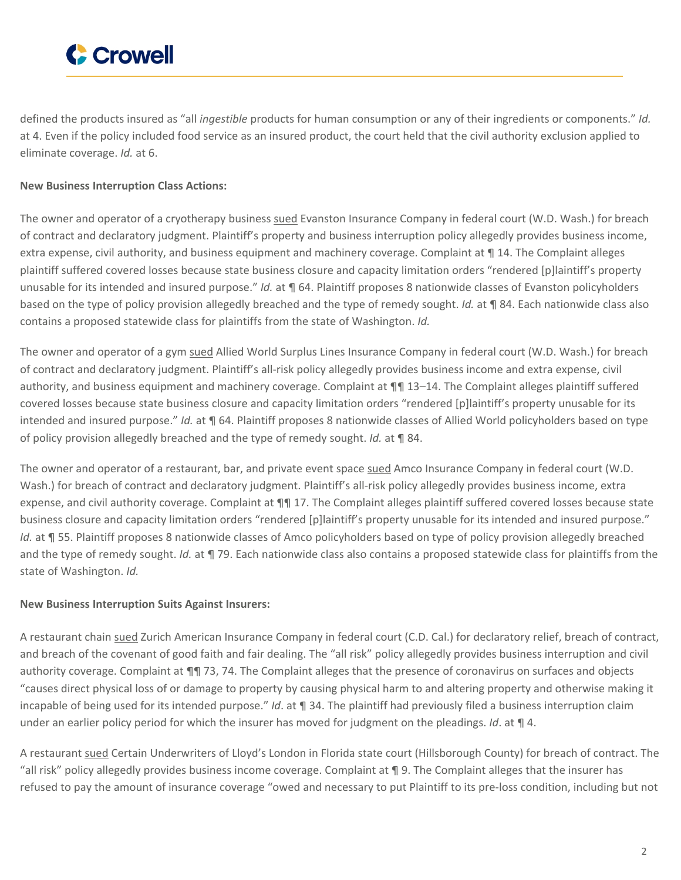

defined the products insured as "all *ingestible* products for human consumption or any of their ingredients or components." *Id.* at 4. Even if the policy included food service as an insured product, the court held that the civil authority exclusion applied to eliminate coverage. *Id.* at 6.

#### **New Business Interruption Class Actions:**

The owner and operator of a cryotherapy business [sued](https://www.crowell.com/files/Glacial-Cryo-Complaint.PDF) Evanston Insurance Company in federal court (W.D. Wash.) for breach of contract and declaratory judgment. Plaintiff's property and business interruption policy allegedly provides business income, extra expense, civil authority, and business equipment and machinery coverage. Complaint at ¶ 14. The Complaint alleges plaintiff suffered covered losses because state business closure and capacity limitation orders "rendered [p]laintiff's property unusable for its intended and insured purpose." *Id.* at ¶ 64. Plaintiff proposes 8 nationwide classes of Evanston policyholders based on the type of policy provision allegedly breached and the type of remedy sought. *Id.* at ¶ 84. Each nationwide class also contains a proposed statewide class for plaintiffs from the state of Washington. *Id.*

The owner and operator of a gym [sued](https://www.crowell.com/files/Wellington-Athletic-Club-Complaint.PDF) Allied World Surplus Lines Insurance Company in federal court (W.D. Wash.) for breach of contract and declaratory judgment. Plaintiff's all-risk policy allegedly provides business income and extra expense, civil authority, and business equipment and machinery coverage. Complaint at ¶¶ 13–14. The Complaint alleges plaintiff suffered covered losses because state business closure and capacity limitation orders "rendered [p]laintiff's property unusable for its intended and insured purpose." *Id.* at ¶ 64. Plaintiff proposes 8 nationwide classes of Allied World policyholders based on type of policy provision allegedly breached and the type of remedy sought. *Id.* at ¶ 84.

The owner and operator of a restaurant, bar, and private event space [sued](https://www.crowell.com/files/B-and-F-Complaint.PDF) Amco Insurance Company in federal court (W.D. Wash.) for breach of contract and declaratory judgment. Plaintiff's all-risk policy allegedly provides business income, extra expense, and civil authority coverage. Complaint at  $\P\P$  17. The Complaint alleges plaintiff suffered covered losses because state business closure and capacity limitation orders "rendered [p]laintiff's property unusable for its intended and insured purpose." *Id.* at ¶ 55. Plaintiff proposes 8 nationwide classes of Amco policyholders based on type of policy provision allegedly breached and the type of remedy sought. *Id.* at ¶ 79. Each nationwide class also contains a proposed statewide class for plaintiffs from the state of Washington. *Id.*

#### **New Business Interruption Suits Against Insurers:**

A restaurant chain [sued](https://www.crowell.com/files/In-N-Out-Complaint.PDF) Zurich American Insurance Company in federal court (C.D. Cal.) for declaratory relief, breach of contract, and breach of the covenant of good faith and fair dealing. The "all risk" policy allegedly provides business interruption and civil authority coverage. Complaint at  $\P\P$  73, 74. The Complaint alleges that the presence of coronavirus on surfaces and objects "causes direct physical loss of or damage to property by causing physical harm to and altering property and otherwise making it incapable of being used for its intended purpose." *Id*. at ¶ 34. The plaintiff had previously filed a business interruption claim under an earlier policy period for which the insurer has moved for judgment on the pleadings. *Id*. at ¶ 4.

A restaurant [sued](https://www.crowell.com/files/Hickory-Restaurants-Complaint.PDF) Certain Underwriters of Lloyd's London in Florida state court (Hillsborough County) for breach of contract. The "all risk" policy allegedly provides business income coverage. Complaint at ¶ 9. The Complaint alleges that the insurer has refused to pay the amount of insurance coverage "owed and necessary to put Plaintiff to its pre-loss condition, including but not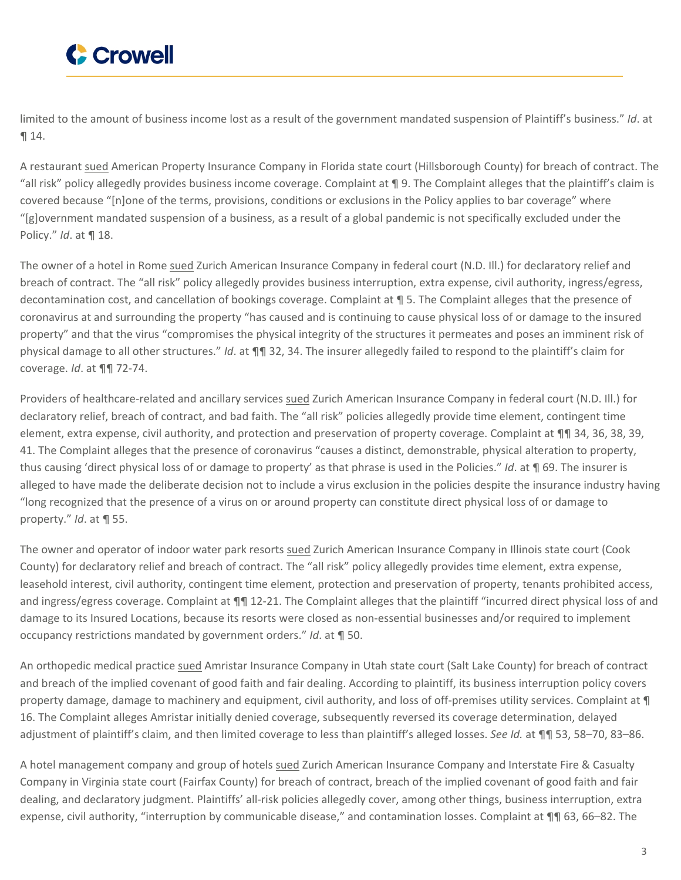

limited to the amount of business income lost as a result of the government mandated suspension of Plaintiff's business." *Id*. at ¶ 14.

A restaurant [sued](https://www.crowell.com/files/MSG-Corp-Complaint.PDF) American Property Insurance Company in Florida state court (Hillsborough County) for breach of contract. The "all risk" policy allegedly provides business income coverage. Complaint at ¶ 9. The Complaint alleges that the plaintiff's claim is covered because "[n]one of the terms, provisions, conditions or exclusions in the Policy applies to bar coverage" where "[g]overnment mandated suspension of a business, as a result of a global pandemic is not specifically excluded under the Policy." *Id*. at ¶ 18.

The owner of a hotel in Rome [sued](https://www.crowell.com/files/Q-Excelsior-Complaint.PDF) Zurich American Insurance Company in federal court (N.D. Ill.) for declaratory relief and breach of contract. The "all risk" policy allegedly provides business interruption, extra expense, civil authority, ingress/egress, decontamination cost, and cancellation of bookings coverage. Complaint at ¶ 5. The Complaint alleges that the presence of coronavirus at and surrounding the property "has caused and is continuing to cause physical loss of or damage to the insured property" and that the virus "compromises the physical integrity of the structures it permeates and poses an imminent risk of physical damage to all other structures." *Id*. at ¶¶ 32, 34. The insurer allegedly failed to respond to the plaintiff's claim for coverage. *Id*. at ¶¶ 72-74.

Providers of healthcare-related and ancillary services [sued](https://www.crowell.com/files/Watson-Woods-Complaint.PDF) Zurich American Insurance Company in federal court (N.D. Ill.) for declaratory relief, breach of contract, and bad faith. The "all risk" policies allegedly provide time element, contingent time element, extra expense, civil authority, and protection and preservation of property coverage. Complaint at ¶¶ 34, 36, 38, 39, 41. The Complaint alleges that the presence of coronavirus "causes a distinct, demonstrable, physical alteration to property, thus causing 'direct physical loss of or damage to property' as that phrase is used in the Policies." *Id*. at ¶ 69. The insurer is alleged to have made the deliberate decision not to include a virus exclusion in the policies despite the insurance industry having "long recognized that the presence of a virus on or around property can constitute direct physical loss of or damage to property." *Id*. at ¶ 55.

The owner and operator of indoor water park resorts [sued](https://www.crowell.com/files/Wild-Holdings-Complaint.PDF) Zurich American Insurance Company in Illinois state court (Cook County) for declaratory relief and breach of contract. The "all risk" policy allegedly provides time element, extra expense, leasehold interest, civil authority, contingent time element, protection and preservation of property, tenants prohibited access, and ingress/egress coverage. Complaint at  $\P\P$  12-21. The Complaint alleges that the plaintiff "incurred direct physical loss of and damage to its Insured Locations, because its resorts were closed as non-essential businesses and/or required to implement occupancy restrictions mandated by government orders." *Id*. at ¶ 50.

An orthopedic medical practice [sued](https://www.crowell.com/files/John-Kelly-Complaint.PDF) Amristar Insurance Company in Utah state court (Salt Lake County) for breach of contract and breach of the implied covenant of good faith and fair dealing. According to plaintiff, its business interruption policy covers property damage, damage to machinery and equipment, civil authority, and loss of off-premises utility services. Complaint at  $\P$ 16. The Complaint alleges Amristar initially denied coverage, subsequently reversed its coverage determination, delayed adjustment of plaintiff's claim, and then limited coverage to less than plaintiff's alleged losses. *See Id.* at ¶¶ 53, 58–70, 83–86.

A hotel management company and group of hotels [sued](https://www.crowell.com/files/Crescent-Hotels-Complaint.PDF) Zurich American Insurance Company and Interstate Fire & Casualty Company in Virginia state court (Fairfax County) for breach of contract, breach of the implied covenant of good faith and fair dealing, and declaratory judgment. Plaintiffs' all-risk policies allegedly cover, among other things, business interruption, extra expense, civil authority, "interruption by communicable disease," and contamination losses. Complaint at ¶¶ 63, 66–82. The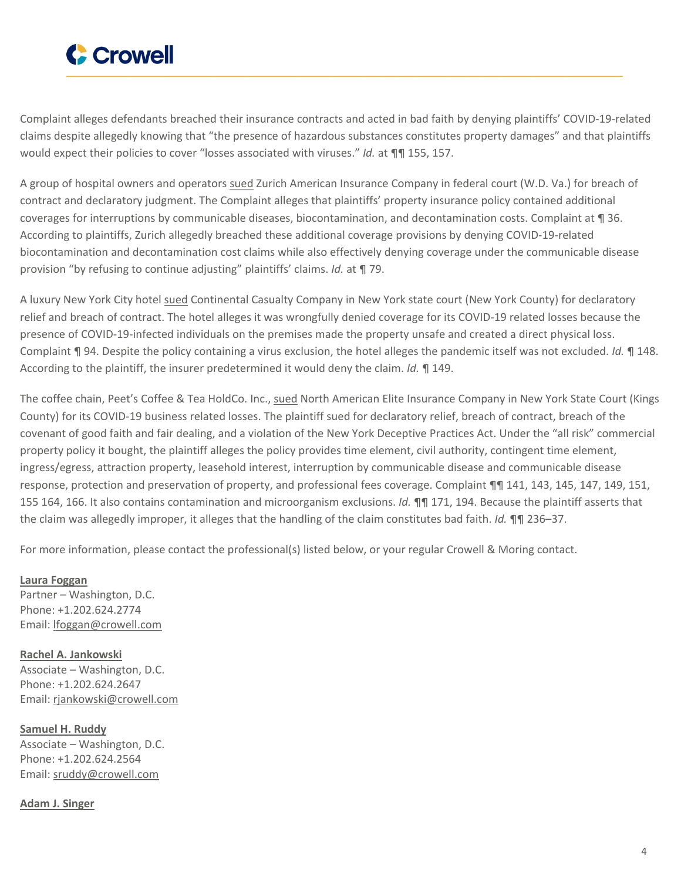

Complaint alleges defendants breached their insurance contracts and acted in bad faith by denying plaintiffs' COVID-19-related claims despite allegedly knowing that "the presence of hazardous substances constitutes property damages" and that plaintiffs would expect their policies to cover "losses associated with viruses." *Id.* at **¶**¶ 155, 157.

A group of hospital owners and operators [sued](https://www.crowell.com/files/Danville-Regional-Complaint.PDF) Zurich American Insurance Company in federal court (W.D. Va.) for breach of contract and declaratory judgment. The Complaint alleges that plaintiffs' property insurance policy contained additional coverages for interruptions by communicable diseases, biocontamination, and decontamination costs. Complaint at ¶ 36. According to plaintiffs, Zurich allegedly breached these additional coverage provisions by denying COVID-19-related biocontamination and decontamination cost claims while also effectively denying coverage under the communicable disease provision "by refusing to continue adjusting" plaintiffs' claims. *Id.* at ¶ 79.

A luxury New York City hotel [sued](https://www.crowell.com/files/Plaza-Athenee-Hotel-Co-Complaint.PDF) Continental Casualty Company in New York state court (New York County) for declaratory relief and breach of contract. The hotel alleges it was wrongfully denied coverage for its COVID-19 related losses because the presence of COVID-19-infected individuals on the premises made the property unsafe and created a direct physical loss. Complaint ¶ 94. Despite the policy containing a virus exclusion, the hotel alleges the pandemic itself was not excluded. *Id.* ¶ 148. According to the plaintiff, the insurer predetermined it would deny the claim. *Id.* ¶ 149.

The coffee chain, Peet's Coffee & Tea HoldCo. Inc., [sued](https://www.crowell.com/files/Peets-Coffee-and-Tea-Holdco-Complaint.PDF) North American Elite Insurance Company in New York State Court (Kings County) for its COVID-19 business related losses. The plaintiff sued for declaratory relief, breach of contract, breach of the covenant of good faith and fair dealing, and a violation of the New York Deceptive Practices Act. Under the "all risk" commercial property policy it bought, the plaintiff alleges the policy provides time element, civil authority, contingent time element, ingress/egress, attraction property, leasehold interest, interruption by communicable disease and communicable disease response, protection and preservation of property, and professional fees coverage. Complaint ¶¶ 141, 143, 145, 147, 149, 151, 155 164, 166. It also contains contamination and microorganism exclusions. *Id.* ¶¶ 171, 194. Because the plaintiff asserts that the claim was allegedly improper, it alleges that the handling of the claim constitutes bad faith. *Id.* ¶¶ 236–37.

For more information, please contact the professional(s) listed below, or your regular Crowell & Moring contact.

**Laura [Foggan](https://www.crowell.com/professionals/Laura-Foggan)** Partner – Washington, D.C. Phone: +1.202.624.2774 Email: [lfoggan@crowell.com](mailto:lfoggan@crowell.com)

**Rachel A. [Jankowski](https://www.crowell.com/professionals/Rachel-Jankowski)** Associate – Washington, D.C. Phone: +1.202.624.2647 Email: [rjankowski@crowell.com](mailto:rjankowski@crowell.com)

**[Samuel](https://www.crowell.com/professionals/Samuel-Ruddy) H. Ruddy** Associate – Washington, D.C. Phone: +1.202.624.2564 Email: [sruddy@crowell.com](mailto:sruddy@crowell.com)

**Adam J. [Singer](https://www.crowell.com/professionals/Adam-J-Singer)**